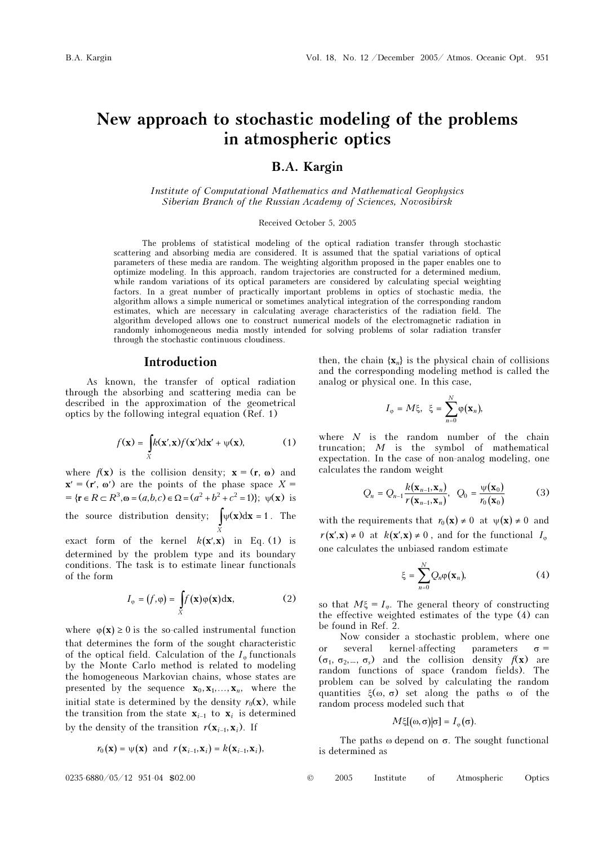# New approach to stochastic modeling of the problems in atmospheric optics

## B.A. Kargin

Institute of Computational Mathematics and Mathematical Geophysics Siberian Branch of the Russian Academy of Sciences, Novosibirsk

#### Received October 5, 2005

The problems of statistical modeling of the optical radiation transfer through stochastic scattering and absorbing media are considered. It is assumed that the spatial variations of optical parameters of these media are random. The weighting algorithm proposed in the paper enables one to optimize modeling. In this approach, random trajectories are constructed for a determined medium, while random variations of its optical parameters are considered by calculating special weighting factors. In a great number of practically important problems in optics of stochastic media, the algorithm allows a simple numerical or sometimes analytical integration of the corresponding random estimates, which are necessary in calculating average characteristics of the radiation field. The algorithm developed allows one to construct numerical models of the electromagnetic radiation in randomly inhomogeneous media mostly intended for solving problems of solar radiation transfer through the stochastic continuous cloudiness.

#### Introduction

As known, the transfer of optical radiation through the absorbing and scattering media can be described in the approximation of the geometrical optics by the following integral equation (Ref. 1)

$$
f(\mathbf{x}) = \int\limits_X k(\mathbf{x}', \mathbf{x}) f(\mathbf{x}') d\mathbf{x}' + \psi(\mathbf{x}), \tag{1}
$$

where  $f(\mathbf{x})$  is the collision density;  $\mathbf{x} = (\mathbf{r}, \mathbf{\omega})$  and  $x' = (r', \omega')$  are the points of the phase space  $X =$  $= {\mathbf{r} \in R \subset R^3, \omega = (a, b, c) \in \Omega} = (a^2 + b^2 + c^2 = 1); \psi(\mathbf{x}) \text{ is}$ the source distribution density;  $\int_{X} \psi(\mathbf{x}) d\mathbf{x} = 1$  $x)dx = 1$ . The

exact form of the kernel  $k(x',x)$  in Eq. (1) is determined by the problem type and its boundary conditions. The task is to estimate linear functionals of the form

$$
I_{\varphi} = (f, \varphi) = \int_{X} f(\mathbf{x}) \varphi(\mathbf{x}) d\mathbf{x}, \tag{2}
$$

where  $\varphi(\mathbf{x}) \ge 0$  is the so-called instrumental function that determines the form of the sought characteristic of the optical field. Calculation of the  $I_{\varphi}$  functionals by the Monte Carlo method is related to modeling the homogeneous Markovian chains, whose states are presented by the sequence  $\mathbf{x}_0, \mathbf{x}_1, \ldots, \mathbf{x}_n$ , where the initial state is determined by the density  $r_0(\mathbf{x})$ , while the homogeneous Frankovian chains, whose states are<br>presented by the sequence  $\mathbf{x}_0, \mathbf{x}_1, ..., \mathbf{x}_n$ , where the<br>initial state is determined by the density  $r_0(\mathbf{x})$ , while<br>the transition from the state  $\mathbf{x}_{i-1}$  to  $\$ initial state is determined by the density  $r_0(\mathbf{x})$ <br>the transition from the state  $\mathbf{x}_{i-1}$  to  $\mathbf{x}_i$  is det<br>by the density of the transition  $r(\mathbf{x}_{i-1}, \mathbf{x}_i)$ . If the transition from the state  $\mathbf{x}_{i-1}$  to  $\mathbf{x}_i$  is determined<br>by the density of the transition  $r(\mathbf{x}_{i-1}, \mathbf{x}_i)$ . If

$$
r_0(\mathbf{x}) = \psi(\mathbf{x})
$$
 and  $r(\mathbf{x}_{i-1}, \mathbf{x}_i) = k(\mathbf{x}_{i-1}, \mathbf{x}_i)$ ,

then, the chain  $\{x_n\}$  is the physical chain of collisions and the corresponding modeling method is called the analog or physical one. In this case,

$$
I_{\varphi} = M \xi, \ \xi = \sum_{n=0}^{N} \varphi(\mathbf{x}_n),
$$

where  $N$  is the random number of the chain truncation; M is the symbol of mathematical expectation. In the case of non-analog modeling, one calculates the random weight

$$
Q_n = Q_{n-1} \frac{k(\mathbf{x}_{n-1}, \mathbf{x}_n)}{r(\mathbf{x}_{n-1}, \mathbf{x}_n)}, \ Q_0 = \frac{\psi(\mathbf{x}_0)}{r_0(\mathbf{x}_0)}
$$
(3)

with the requirements that  $r_0(\mathbf{x}) \neq 0$  at  $\psi(\mathbf{x}) \neq 0$  and  $r(\mathbf{x}', \mathbf{x}) \neq 0$  at  $k(\mathbf{x}', \mathbf{x}) \neq 0$ , and for the functional  $I_{\infty}$ one calculates the unbiased random estimate

$$
\xi = \sum_{n=0}^{N} Q_n \varphi(\mathbf{x}_n), \tag{4}
$$

so that  $M\xi = I_{\varphi}$ . The general theory of constructing the effective weighted estimates of the type (4) can be found in Ref. 2.

Now consider a stochastic problem, where one or several kernel-affecting parameters  $\sigma =$  $(\sigma_1, \sigma_2, ..., \sigma_s)$  and the collision density  $f(\mathbf{x})$  are random functions of space (random fields). The problem can be solved by calculating the random quantities  $ξ(ω, σ)$  set along the paths ω of the random process modeled such that

$$
M\xi[(\omega,\sigma)|\sigma] = I_{\varphi}(\sigma).
$$

The paths  $\omega$  depend on  $\sigma$ . The sought functional is determined as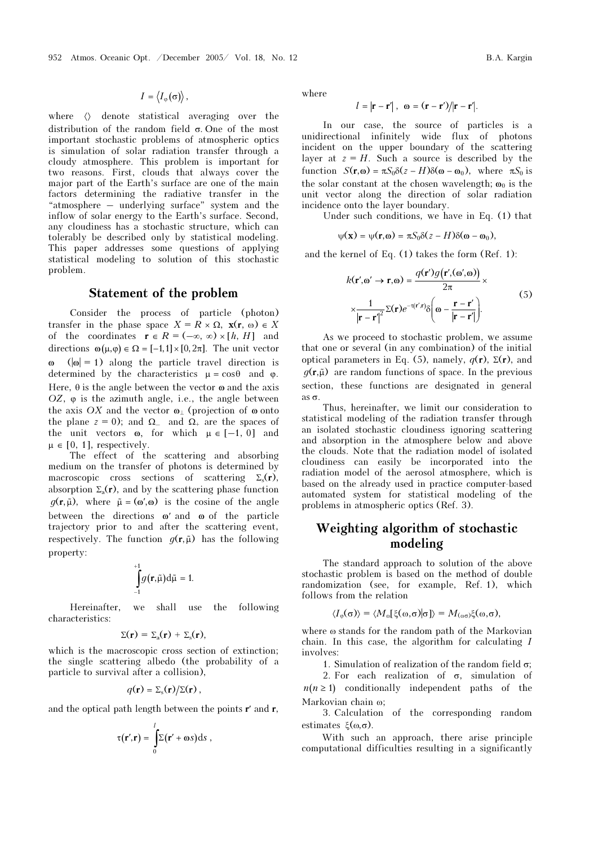$I = \langle I_{\infty}(\sigma) \rangle$ ,

where  $\langle \rangle$  denote statistical averaging over the distribution of the random field σ. One of the most important stochastic problems of atmospheric optics is simulation of solar radiation transfer through a cloudy atmosphere. This problem is important for two reasons. First, clouds that always cover the major part of the Earth's surface are one of the main factors determining the radiative transfer in the "atmosphere – underlying surface" system and the inflow of solar energy to the Earth's surface. Second, any cloudiness has a stochastic structure, which can tolerably be described only by statistical modeling. This paper addresses some questions of applying statistical modeling to solution of this stochastic problem.

### Statement of the problem

Consider the process of particle (photon) transfer in the phase space  $X = R \times \Omega$ ,  $\mathbf{x}(\mathbf{r}, \omega) \in X$ of the coordinates  $\mathbf{r} \in R = (-\infty, \infty) \times [h, H]$  and directions  $\omega(\mu,\varphi) \in \Omega = [-1,1] \times [0,2\pi]$ . The unit vector  $(|\omega| = 1)$  along the particle travel direction is determined by the characteristics  $\mu = \cos \theta$  and  $\varphi$ . Here,  $\theta$  is the angle between the vector  $\omega$  and the axis OZ,  $\varphi$  is the azimuth angle, i.e., the angle between the axis OX and the vector  $\mathbf{\omega}_{\perp}$  (projection of  $\mathbf{\omega}$  onto the plane  $z = 0$ ); and  $\Omega_{-}$  and  $\Omega_{+}$  are the spaces of the unit vectors  $\omega$ , for which  $\mu \in [-1, 0]$  and  $\mu \in [0, 1]$ , respectively.

The effect of the scattering and absorbing medium on the transfer of photons is determined by macroscopic cross sections of scattering  $\Sigma_s(\mathbf{r})$ , absorption  $\Sigma_a(\mathbf{r})$ , and by the scattering phase function The effect of<br>medium on the tra<br>macroscopic cross<br>absorption  $\Sigma_a(\mathbf{r})$ , an<br> $g(\mathbf{r}, \tilde{\mu})$ , where  $\tilde{\mu} =$  $q(\mathbf{r}, \tilde{\mathbf{u}})$ , where  $\tilde{\mathbf{u}} = (\mathbf{\omega}', \mathbf{\omega})$  is the cosine of the angle between the directions ω′ and ω of the particle trajectory prior to and after the scattering event, absorption  $\Sigma_a(\mathbf{r})$ , and by the scattering phase function  $g(\mathbf{r}, \tilde{\mu})$ , where  $\tilde{\mu} = (\omega', \omega)$  is the cosine of the angle between the directions  $\omega'$  and  $\omega$  of the particle trajectory prior to and after the scatte property: and arter<br>inction  $g(\mathbf{r}, t)$ <br> $\int g(\mathbf{r}, \tilde{\mu}) d\tilde{\mu} =$ ピ<br>ア

$$
\int_{-1}^{+1} g(\mathbf{r}, \tilde{\mu}) d\tilde{\mu} = 1.
$$

Hereinafter, we shall use the following characteristics:

$$
\Sigma(\mathbf{r}) = \Sigma_{\rm a}(\mathbf{r}) + \Sigma_{\rm s}(\mathbf{r}),
$$

which is the macroscopic cross section of extinction; the single scattering albedo (the probability of a particle to survival after a collision),

$$
q(\mathbf{r}) = \Sigma_{\rm s}(\mathbf{r})/\Sigma(\mathbf{r}),
$$

and the optical path length between the points r′ and r,

$$
\tau(\mathbf{r}',\mathbf{r}) = \int_{0}^{l} \Sigma(\mathbf{r}' + \omega s) \, \mathrm{d}s \;,
$$

where

$$
l=|\mathbf{r}-\mathbf{r}'|,\ \ \omega=(\mathbf{r}-\mathbf{r}')/|\mathbf{r}-\mathbf{r}'|.
$$

In our case, the source of particles is a unidirectional infinitely wide flux of photons incident on the upper boundary of the scattering layer at  $z = H$ . Such a source is described by the function  $S(\mathbf{r}, \mathbf{\omega}) = \pi S_0 \delta(z - H) \delta(\mathbf{\omega} - \mathbf{\omega}_0)$ , where  $\pi S_0$  is the solar constant at the chosen wavelength;  $\omega_0$  is the unit vector along the direction of solar radiation incidence onto the layer boundary.

Under such conditions, we have in Eq. (1) that

$$
\psi(\mathbf{x}) = \psi(\mathbf{r}, \mathbf{\omega}) = \pi S_0 \delta(z - H) \delta(\mathbf{\omega} - \mathbf{\omega}_0),
$$

and the kernel of Eq. (1) takes the form (Ref. 1):

$$
k(\mathbf{r}', \omega' \to \mathbf{r}, \omega) = \frac{q(\mathbf{r}')g(\mathbf{r}', (\omega', \omega))}{2\pi} \times \frac{1}{|\mathbf{r} - \mathbf{r}'|^2} \Sigma(\mathbf{r})e^{-\tau(\mathbf{r}', \mathbf{r})} \delta\left(\omega - \frac{\mathbf{r} - \mathbf{r}'}{|\mathbf{r} - \mathbf{r}'|}\right).
$$
 (5)

As we proceed to stochastic problem, we assume that one or several (in any combination) of the initial optical parameters in Eq. (5), namely,  $q(\mathbf{r})$ ,  $\Sigma(\mathbf{r})$ , and A<br>that of<br>poptica<br> $g(\mathbf{r}, \tilde{\mu})$  $q(\mathbf{r}, \tilde{\mu})$  are random functions of space. In the previous section, these functions are designated in general as σ.

Thus, hereinafter, we limit our consideration to statistical modeling of the radiation transfer through an isolated stochastic cloudiness ignoring scattering and absorption in the atmosphere below and above the clouds. Note that the radiation model of isolated cloudiness can easily be incorporated into the radiation model of the aerosol atmosphere, which is based on the already used in practice computer-based automated system for statistical modeling of the problems in atmospheric optics (Ref. 3).

# Weighting algorithm of stochastic modeling

The standard approach to solution of the above stochastic problem is based on the method of double randomization (see, for example, Ref. 1), which follows from the relation

$$
\langle I_{\varphi}(\sigma)\rangle = \langle M_{\omega}[\xi(\omega,\sigma)|\sigma]\rangle = M_{(\omega\sigma)}\xi(\omega,\sigma),
$$

where ω stands for the random path of the Markovian chain. In this case, the algorithm for calculating I involves:

1. Simulation of realization of the random field  $\sigma$ ;

2. For each realization of  $\sigma$ , simulation of  $n(n \geq 1)$  conditionally independent paths of the Markovian chain ω;

3. Calculation of the corresponding random estimates  $\xi(\omega,\sigma)$ .

With such an approach, there arise principle computational difficulties resulting in a significantly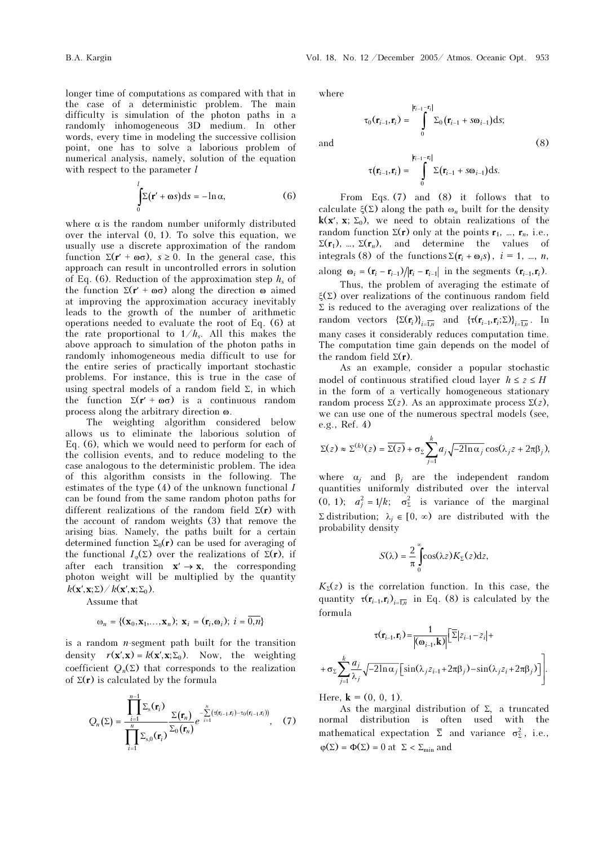−<br>−1  $\tau_0(\mathbf{r}_{i-1}, \mathbf{r}_i) = \int_{0}^{|\mathbf{r}_{i-1} - \mathbf{r}_i|} \Sigma_0(\mathbf{r}_{i-1} + s\omega_i)$  $\Sigma_0(\mathbf{r}_{i-1}, \mathbf{r}_i) = \mathbf{1} \quad \Sigma_0(\mathbf{r}_{i-1} + s\mathbf{\omega}_{i-1})$  $\overline{0}$ 

 $\mathbf{r}_{i-1}$  $\mathbf{r}_{i+1}$ ,  $\mathbf{r}_{i}$ ) =  $\qquad \sum_{i=1}^{n} (\mathbf{r}_{i+1} + s\mathbf{\omega})$ 

longer time of computations as compared with that in the case of a deterministic problem. The main difficulty is simulation of the photon paths in a randomly inhomogeneous 3D medium. In other words, every time in modeling the successive collision point, one has to solve a laborious problem of numerical analysis, namely, solution of the equation with respect to the parameter  $l$ 

$$
\int_{0}^{l} \Sigma(\mathbf{r}' + \omega s) \, \mathrm{d}s = -\ln \alpha,\tag{6}
$$

where  $\alpha$  is the random number uniformly distributed over the interval (0, 1). To solve this equation, we usually use a discrete approximation of the random function  $\Sigma(\mathbf{r}' + \mathbf{\omega}\sigma)$ ,  $s \ge 0$ . In the general case, this approach can result in uncontrolled errors in solution of Eq. (6). Reduction of the approximation step  $h_s$  of the function  $\Sigma$ (r' + ωσ) along the direction ω aimed at improving the approximation accuracy inevitably leads to the growth of the number of arithmetic operations needed to evaluate the root of Eq. (6) at the rate proportional to  $1/h_s$ . All this makes the above approach to simulation of the photon paths in randomly inhomogeneous media difficult to use for the entire series of practically important stochastic problems. For instance, this is true in the case of using spectral models of a random field  $\Sigma$ , in which the function  $\Sigma(\mathbf{r}' + \mathbf{\omega}\sigma)$  is a continuous random process along the arbitrary direction ω.

The weighting algorithm considered below allows us to eliminate the laborious solution of Eq. (6), which we would need to perform for each of the collision events, and to reduce modeling to the case analogous to the deterministic problem. The idea of this algorithm consists in the following. The estimates of the type  $(4)$  of the unknown functional I can be found from the same random photon paths for different realizations of the random field  $\Sigma(r)$  with the account of random weights (3) that remove the arising bias. Namely, the paths built for a certain determined function  $\Sigma_0(\mathbf{r})$  can be used for averaging of the functional  $I_{\omega}(\Sigma)$  over the realizations of  $\Sigma(\mathbf{r})$ , if after each transition  $\mathbf{x}' \to \mathbf{x}$ , the corresponding photon weight will be multiplied by the quantity  $k(\mathbf{x}', \mathbf{x}; \Sigma) / k(\mathbf{x}', \mathbf{x}; \Sigma_0).$ 

Assume that

$$
\mathbf{\omega}_n = \{ (\mathbf{x}_0, \mathbf{x}_1, \dots, \mathbf{x}_n); \ \mathbf{x}_i = (\mathbf{r}_i, \mathbf{\omega}_i); \ i = \overline{0, n} \}
$$

is a random  $n$ -segment path built for the transition density  $r(\mathbf{x}', \mathbf{x}) = k(\mathbf{x}', \mathbf{x}; \Sigma_0)$ . Now, the weighting coefficient  $O_n(\Sigma)$  that corresponds to the realization of  $\Sigma(r)$  is calculated by the formula

$$
Q_n(\Sigma) = \frac{\prod_{i=1}^{n-1} \Sigma_s(\mathbf{r}_i)}{\prod_{i=1}^n \Sigma_{s,0}(\mathbf{r}_i)} \frac{\Sigma(\mathbf{r}_n)}{\Sigma_0(\mathbf{r}_n)} e^{-\sum\limits_{i=1}^n (\tau(\mathbf{r}_{i-1}, \mathbf{r}_i) - \tau_0(\mathbf{r}_{i-1}, \mathbf{r}_i))}, \quad (7)
$$

where

and  $(8)$ 

$$
\tau_0(\mathbf{r}_{i-1}, \mathbf{r}_i) = \int_0^{\lfloor \mathbf{r}_{i-1} - \mathbf{r}_i \rfloor} \sum_0 (\mathbf{r}_{i-1} + s\omega_{i-1}) \, \mathrm{d}x.
$$
\n
$$
\tau(\mathbf{r}_{i-1}, \mathbf{r}_i) = \int_0^{\lfloor \mathbf{r}_{i-1} - \mathbf{r}_i \rfloor} \sum_0 (\mathbf{r}_{i-1} + s\omega_{i-1}) \, \mathrm{d}x.
$$

 $(\mathbf{r}_{i+1}, \mathbf{r}_i) = \int \Sigma_0 (\mathbf{r}_{i+1} + s\omega_{i+1}) ds;$  $i_{-1} - r_i$ 

 $\mathbf{r}_{i-1}, \mathbf{r}_i$  =  $\sum_{i=1}^{\infty} (\mathbf{r}_{i-1} + s\omega_{i-1}) ds$ 

 $(r_{i-1} + s\omega_{i-1})$ 

From Eqs. (7) and (8) it follows that to calculate  $\xi(\Sigma)$  along the path  $\omega_n$  built for the density  $k(x', x; \Sigma_0)$ , we need to obtain realizations of the random function  $\Sigma(\mathbf{r})$  only at the points  $\mathbf{r}_1$ , ...,  $\mathbf{r}_n$ , i.e.,  $\Sigma(\mathbf{r}_1)$ , …,  $\Sigma(\mathbf{r}_n)$ , and determine the values of integrals (8) of the functions  $\Sigma(\mathbf{r}_i + \mathbf{\omega}_i s)$ ,  $i = 1$ , …, *n*, along  $\mathbf{\omega}_i = (\mathbf{r}_i - \mathbf{r}_{i-1})/|\mathbf{r}_i - \mathbf{r}_{i-1}|$  in the segments  $(\mathbf{r}_{i-1}, \mathbf{r}_i)$ . integrals (8) of the functions  $\Sigma(\mathbf{r}_i + \mathbf{\omega}_i s)$ ,  $i = 1, ..., n$ ,

 Thus, the problem of averaging the estimate of ξ(Σ) over realizations of the continuous random field  $\Sigma$  is reduced to the averaging over realizations of the random vectors  $\{\Sigma(\mathbf{r}_i)\}_{i=\overline{1,n}}$  and  $\{\tau(\mathbf{r}_{i-1}, \mathbf{r}_i; \Sigma)\}_{i=\overline{1,n}}$ . In many cases it considerably reduces computation time. The computation time gain depends on the model of the random field  $\Sigma(\mathbf{r})$ .

As an example, consider a popular stochastic model of continuous stratified cloud layer  $h \leq z \leq H$ in the form of a vertically homogeneous stationary random process  $\Sigma(z)$ . As an approximate process  $\Sigma(z)$ , we can use one of the numerous spectral models (see, e.g., Ref. 4)

$$
\Sigma(z) \approx \Sigma^{(k)}(z) = \overline{\Sigma(z)} + \sigma_{\Sigma} \sum_{j=1}^{k} a_j \sqrt{-2 \ln \alpha_j} \cos(\lambda_j z + 2\pi \beta_j),
$$

where  $\alpha_i$  and  $\beta_i$  are the independent random quantities uniformly distributed over the interval (0, 1);  $a_j^2 = 1/k$ ;  $\sigma_{\Sigma}^2$  is variance of the marginal Σ distribution;  $λ<sub>j</sub> ∈ [0, ∞)$  are distributed with the probability density

$$
S(\lambda) = \frac{2}{\pi} \int_{0}^{\infty} \cos(\lambda z) K_{\Sigma}(z) dz,
$$

 $K_{\Sigma}(z)$  is the correlation function. In this case, the quantity  $\tau(\mathbf{r}_{i-1}, \mathbf{r}_i)_{i \in \overline{n}}$  in Eq. (8) is calculated by the formula

$$
\tau(\mathbf{r}_{i-1}, \mathbf{r}_i) = \frac{1}{|(\mathbf{\omega}_{i-1}, \mathbf{k})|} \left[ \overline{\Sigma} |z_{i-1} - z_i| +
$$

$$
+ \sigma_{\Sigma} \sum_{j=1}^k \frac{a_j}{\lambda_j} \sqrt{-2\ln \alpha_j} \left[ \sin(\lambda_j z_{i-1} + 2\pi \beta_j) - \sin(\lambda_j z_i + 2\pi \beta_j) \right] \right].
$$

Here,  $\mathbf{k} = (0, 0, 1)$ .

As the marginal distribution of  $\Sigma$ , a truncated normal distribution is often used with the mathematical expectation  $\bar{\Sigma}$  and variance  $\sigma_{\Sigma}^2$ , i.e.,  $\varphi(\Sigma) = \Phi(\Sigma) = 0$  at  $\Sigma < \Sigma_{\rm min}$  and